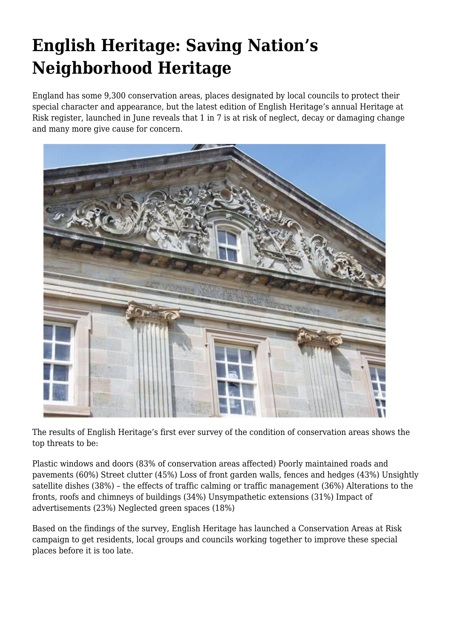## **English Heritage: Saving Nation's Neighborhood Heritage**

England has some 9,300 conservation areas, places designated by local councils to protect their special character and appearance, but the latest edition of English Heritage's annual Heritage at Risk register, launched in June reveals that 1 in 7 is at risk of neglect, decay or damaging change and many more give cause for concern.



The results of English Heritage's first ever survey of the condition of conservation areas shows the top threats to be:

Plastic windows and doors (83% of conservation areas affected) Poorly maintained roads and pavements (60%) Street clutter (45%) Loss of front garden walls, fences and hedges (43%) Unsightly satellite dishes (38%) – the effects of traffic calming or traffic management (36%) Alterations to the fronts, roofs and chimneys of buildings (34%) Unsympathetic extensions (31%) Impact of advertisements (23%) Neglected green spaces (18%)

Based on the findings of the survey, English Heritage has launched a Conservation Areas at Risk campaign to get residents, local groups and councils working together to improve these special places before it is too late.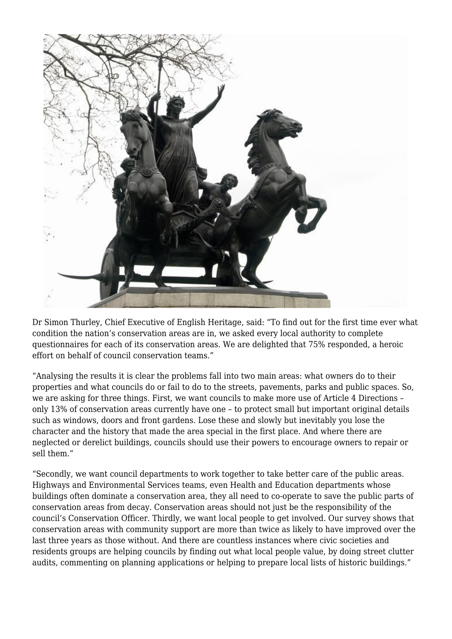

Dr Simon Thurley, Chief Executive of English Heritage, said: "To find out for the first time ever what condition the nation's conservation areas are in, we asked every local authority to complete questionnaires for each of its conservation areas. We are delighted that 75% responded, a heroic effort on behalf of council conservation teams."

"Analysing the results it is clear the problems fall into two main areas: what owners do to their properties and what councils do or fail to do to the streets, pavements, parks and public spaces. So, we are asking for three things. First, we want councils to make more use of Article 4 Directions – only 13% of conservation areas currently have one – to protect small but important original details such as windows, doors and front gardens. Lose these and slowly but inevitably you lose the character and the history that made the area special in the first place. And where there are neglected or derelict buildings, councils should use their powers to encourage owners to repair or sell them."

"Secondly, we want council departments to work together to take better care of the public areas. Highways and Environmental Services teams, even Health and Education departments whose buildings often dominate a conservation area, they all need to co-operate to save the public parts of conservation areas from decay. Conservation areas should not just be the responsibility of the council's Conservation Officer. Thirdly, we want local people to get involved. Our survey shows that conservation areas with community support are more than twice as likely to have improved over the last three years as those without. And there are countless instances where civic societies and residents groups are helping councils by finding out what local people value, by doing street clutter audits, commenting on planning applications or helping to prepare local lists of historic buildings."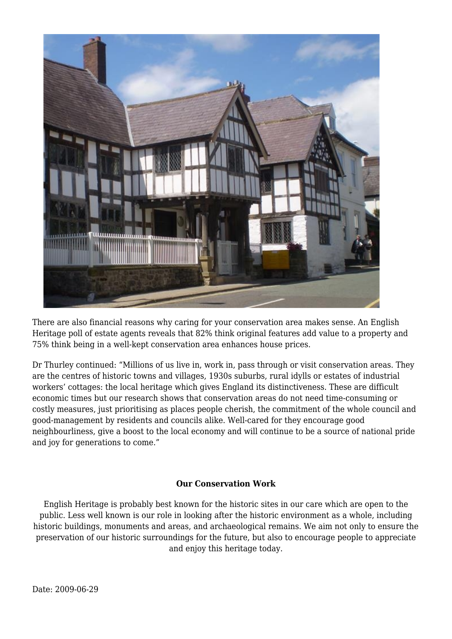

There are also financial reasons why caring for your conservation area makes sense. An English Heritage poll of estate agents reveals that 82% think original features add value to a property and 75% think being in a well-kept conservation area enhances house prices.

Dr Thurley continued: "Millions of us live in, work in, pass through or visit conservation areas. They are the centres of historic towns and villages, 1930s suburbs, rural idylls or estates of industrial workers' cottages: the local heritage which gives England its distinctiveness. These are difficult economic times but our research shows that conservation areas do not need time-consuming or costly measures, just prioritising as places people cherish, the commitment of the whole council and good-management by residents and councils alike. Well-cared for they encourage good neighbourliness, give a boost to the local economy and will continue to be a source of national pride and joy for generations to come."

## **Our Conservation Work**

English Heritage is probably best known for the historic sites in our care which are open to the public. Less well known is our role in looking after the historic environment as a whole, including historic buildings, monuments and areas, and archaeological remains. We aim not only to ensure the preservation of our historic surroundings for the future, but also to encourage people to appreciate and enjoy this heritage today.